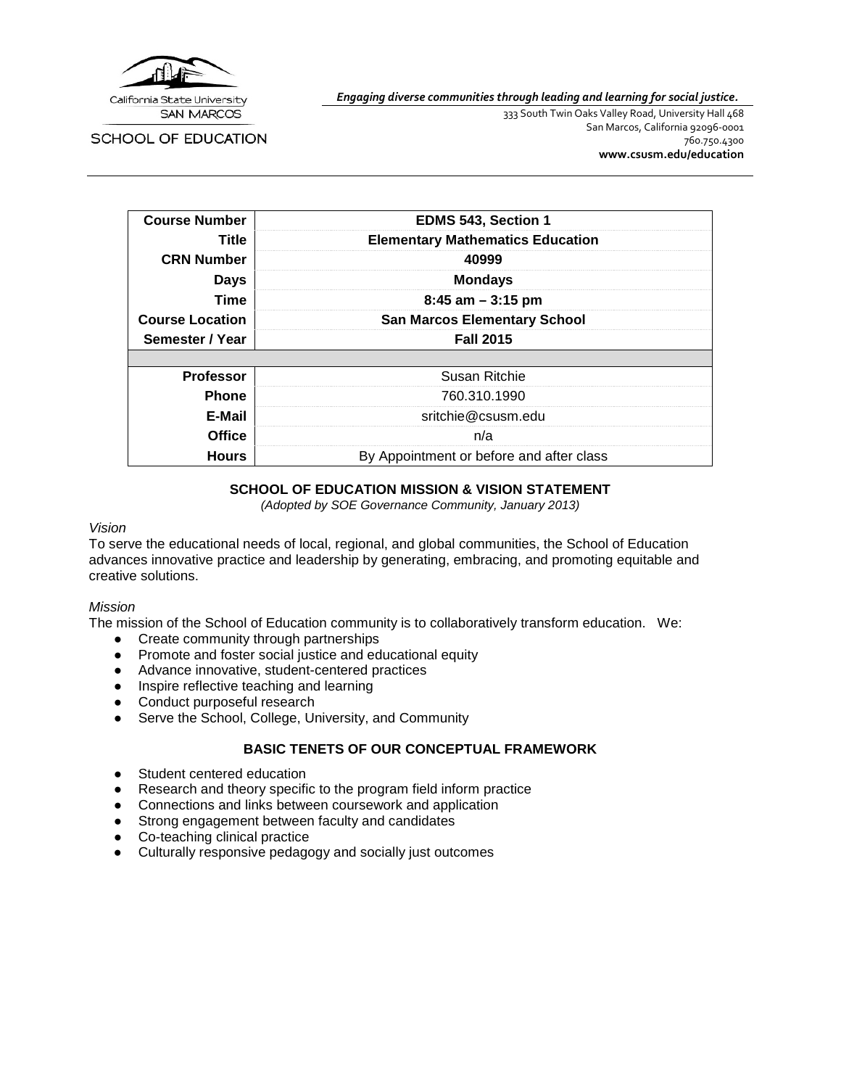

*Engaging diverse communities through leading and learning for social justice.*

SCHOOL OF EDUCATION

333 South Twin Oaks Valley Road, University Hall 468 San Marcos, California 92096-0001 760.750.4300 **[www.csusm.edu/education](http://www.csusm.edu/education)**

| <b>Course Number</b>   | EDMS 543, Section 1                      |  |
|------------------------|------------------------------------------|--|
| Title                  | <b>Elementary Mathematics Education</b>  |  |
| <b>CRN Number</b>      | 40999                                    |  |
| <b>Days</b>            | <b>Mondays</b>                           |  |
| <b>Time</b>            | $8:45$ am $-3:15$ pm                     |  |
| <b>Course Location</b> | <b>San Marcos Elementary School</b>      |  |
| Semester / Year        | <b>Fall 2015</b>                         |  |
|                        |                                          |  |
| <b>Professor</b>       | Susan Ritchie                            |  |
| <b>Phone</b>           | 760.310.1990                             |  |
| E-Mail                 | sritchie@csusm.edu                       |  |
| <b>Office</b>          | n/a                                      |  |
| <b>Hours</b>           | By Appointment or before and after class |  |

### **SCHOOL OF EDUCATION MISSION & VISION STATEMENT**

*(Adopted by SOE Governance Community, January 2013)*

#### *Vision*

To serve the educational needs of local, regional, and global communities, the School of Education advances innovative practice and leadership by generating, embracing, and promoting equitable and creative solutions.

#### *Mission*

The mission of the School of Education community is to collaboratively transform education. We:

- Create community through partnerships
- Promote and foster social justice and educational equity
- Advance innovative, student-centered practices
- Inspire reflective teaching and learning
- Conduct purposeful research
- Serve the School, College, University, and Community

### **BASIC TENETS OF OUR CONCEPTUAL FRAMEWORK**

- Student centered education
- Research and theory specific to the program field inform practice
- Connections and links between coursework and application
- Strong engagement between faculty and candidates
- Co-teaching clinical practice
- Culturally responsive pedagogy and socially just outcomes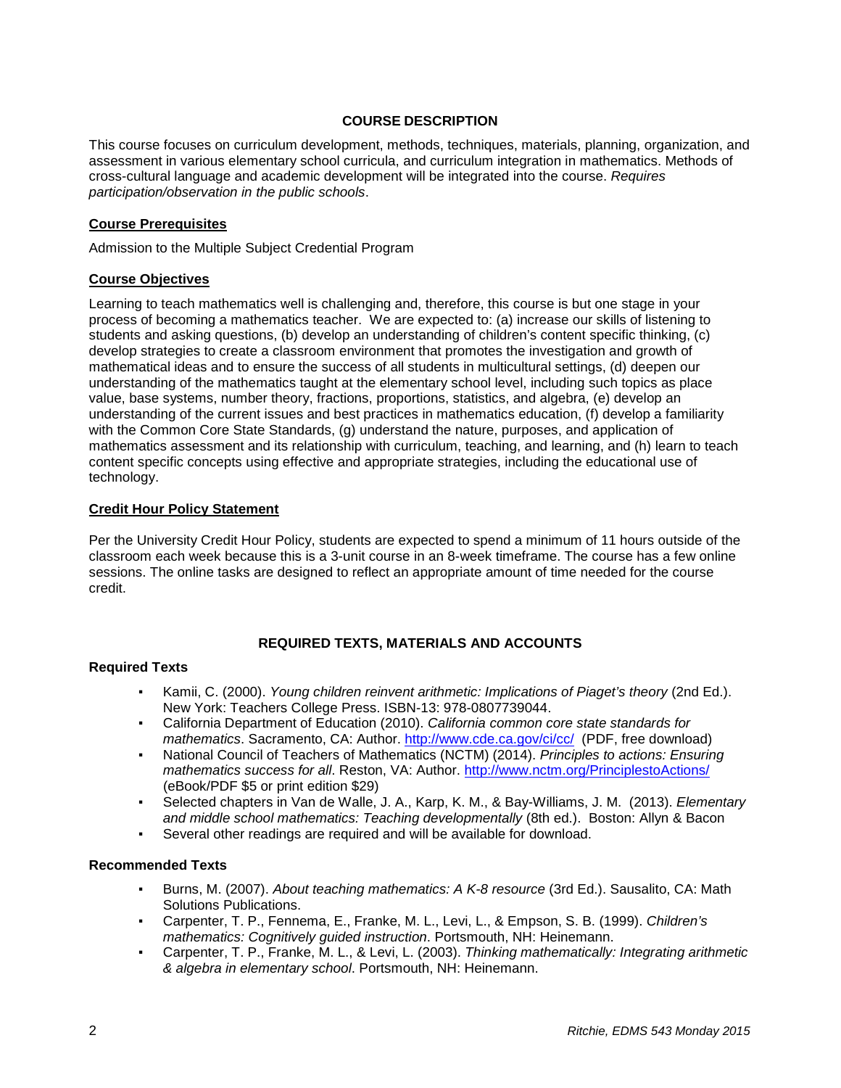# **COURSE DESCRIPTION**

This course focuses on curriculum development, methods, techniques, materials, planning, organization, and assessment in various elementary school curricula, and curriculum integration in mathematics. Methods of cross-cultural language and academic development will be integrated into the course. *Requires participation/observation in the public schools*.

### **Course Prerequisites**

Admission to the Multiple Subject Credential Program

### **Course Objectives**

Learning to teach mathematics well is challenging and, therefore, this course is but one stage in your process of becoming a mathematics teacher. We are expected to: (a) increase our skills of listening to students and asking questions, (b) develop an understanding of children's content specific thinking, (c) develop strategies to create a classroom environment that promotes the investigation and growth of mathematical ideas and to ensure the success of all students in multicultural settings, (d) deepen our understanding of the mathematics taught at the elementary school level, including such topics as place value, base systems, number theory, fractions, proportions, statistics, and algebra, (e) develop an understanding of the current issues and best practices in mathematics education, (f) develop a familiarity with the Common Core State Standards, (g) understand the nature, purposes, and application of mathematics assessment and its relationship with curriculum, teaching, and learning, and (h) learn to teach content specific concepts using effective and appropriate strategies, including the educational use of technology.

### **Credit Hour Policy Statement**

Per the University Credit Hour Policy, students are expected to spend a minimum of 11 hours outside of the classroom each week because this is a 3-unit course in an 8-week timeframe. The course has a few online sessions. The online tasks are designed to reflect an appropriate amount of time needed for the course credit.

# **REQUIRED TEXTS, MATERIALS AND ACCOUNTS**

### **Required Texts**

- Kamii, C. (2000). *Young children reinvent arithmetic: Implications of Piaget's theory* (2nd Ed.). New York: Teachers College Press. ISBN-13: 978-0807739044.
- California Department of Education (2010). *California common core state standards for mathematics*. Sacramento, CA: Author.<http://www.cde.ca.gov/ci/cc/>(PDF, free download)
- National Council of Teachers of Mathematics (NCTM) (2014). *Principles to actions: Ensuring mathematics success for all*. Reston, VA: Author.<http://www.nctm.org/PrinciplestoActions/> (eBook/PDF \$5 or print edition \$29)
- Selected chapters in Van de Walle, J. A., Karp, K. M., & Bay-Williams, J. M. (2013). *Elementary and middle school mathematics: Teaching developmentally* (8th ed.). Boston: Allyn & Bacon
- Several other readings are required and will be available for download.

#### **Recommended Texts**

- Burns, M. (2007). *About teaching mathematics: A K-8 resource* (3rd Ed.). Sausalito, CA: Math Solutions Publications.
- Carpenter, T. P., Fennema, E., Franke, M. L., Levi, L., & Empson, S. B. (1999). *Children's mathematics: Cognitively guided instruction*. Portsmouth, NH: Heinemann.
- Carpenter, T. P., Franke, M. L., & Levi, L. (2003). *Thinking mathematically: Integrating arithmetic & algebra in elementary school*. Portsmouth, NH: Heinemann.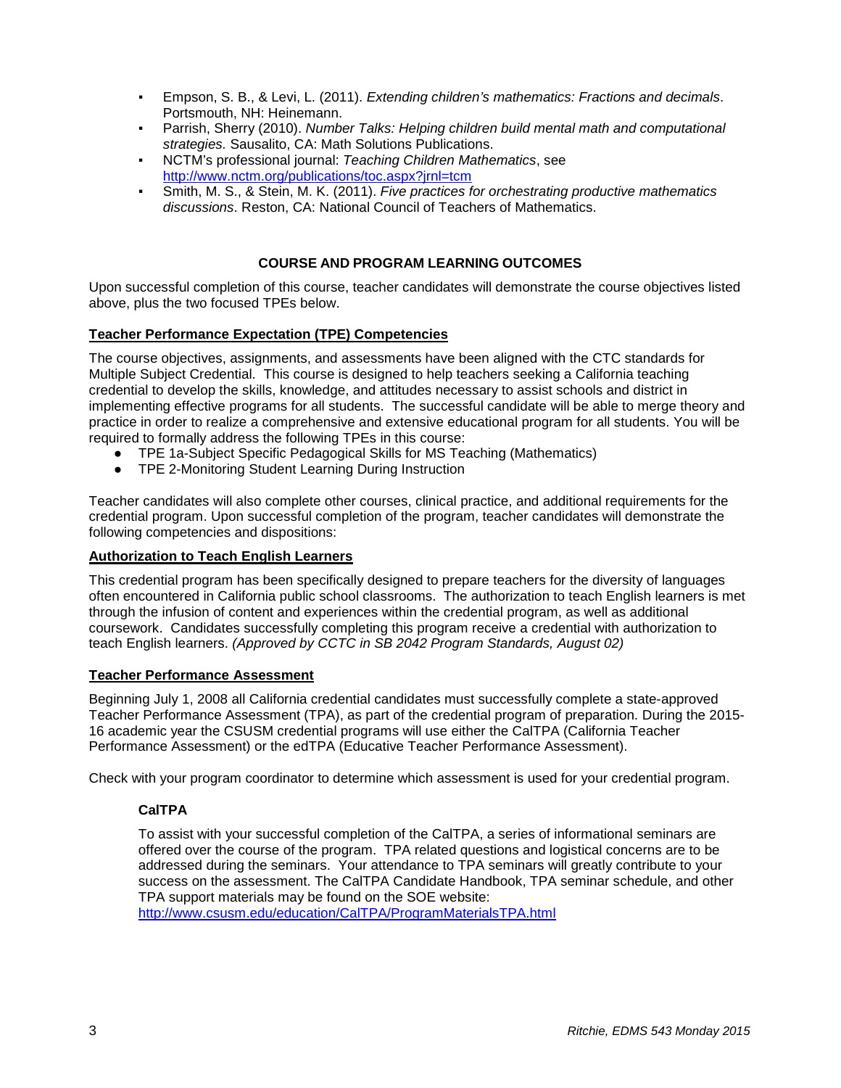- Empson, S. B., & Levi, L. (2011). *Extending children's mathematics: Fractions and decimals*. Portsmouth, NH: Heinemann.
- Parrish, Sherry (2010). *Number Talks: Helping children build mental math and computational strategies.* Sausalito, CA: Math Solutions Publications.
- NCTM's professional journal: Teaching Children Mathematics, see <http://www.nctm.org/publications/toc.aspx?jrnl=tcm>
- Smith, M. S., & Stein, M. K. (2011). *Five practices for orchestrating productive mathematics discussions*. Reston, CA: National Council of Teachers of Mathematics.

# **COURSE AND PROGRAM LEARNING OUTCOMES**

Upon successful completion of this course, teacher candidates will demonstrate the course objectives listed above, plus the two focused TPEs below.

# **Teacher Performance Expectation (TPE) Competencies**

The course objectives, assignments, and assessments have been aligned with the CTC standards for Multiple Subject Credential. This course is designed to help teachers seeking a California teaching credential to develop the skills, knowledge, and attitudes necessary to assist schools and district in implementing effective programs for all students. The successful candidate will be able to merge theory and practice in order to realize a comprehensive and extensive educational program for all students. You will be required to formally address the following TPEs in this course:

- TPE 1a-Subject Specific Pedagogical Skills for MS Teaching (Mathematics)
- TPE 2-Monitoring Student Learning During Instruction

Teacher candidates will also complete other courses, clinical practice, and additional requirements for the credential program. Upon successful completion of the program, teacher candidates will demonstrate the following competencies and dispositions:

# **Authorization to Teach English Learners**

This credential program has been specifically designed to prepare teachers for the diversity of languages often encountered in California public school classrooms. The authorization to teach English learners is met through the infusion of content and experiences within the credential program, as well as additional coursework. Candidates successfully completing this program receive a credential with authorization to teach English learners. *(Approved by CCTC in SB 2042 Program Standards, August 02)*

# **Teacher Performance Assessment**

Beginning July 1, 2008 all California credential candidates must successfully complete a state-approved Teacher Performance Assessment (TPA), as part of the credential program of preparation. During the 2015- 16 academic year the CSUSM credential programs will use either the CalTPA (California Teacher Performance Assessment) or the edTPA (Educative Teacher Performance Assessment).

Check with your program coordinator to determine which assessment is used for your credential program.

# **CalTPA**

To assist with your successful completion of the CalTPA, a series of informational seminars are offered over the course of the program. TPA related questions and logistical concerns are to be addressed during the seminars. Your attendance to TPA seminars will greatly contribute to your success on the assessment. The CalTPA Candidate Handbook, TPA seminar schedule, and other TPA support materials may be found on the SOE website: <http://www.csusm.edu/education/CalTPA/ProgramMaterialsTPA.html>

3 *Ritchie, EDMS 543 Monday 2015*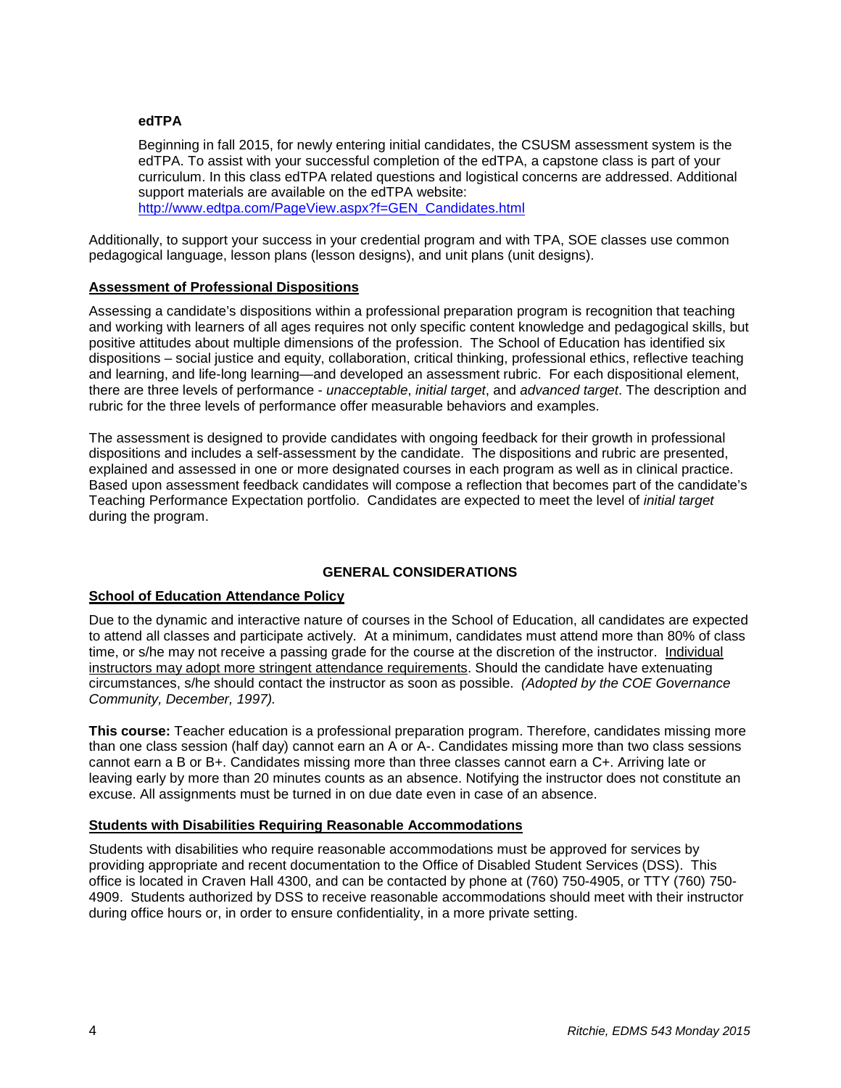# **edTPA**

Beginning in fall 2015, for newly entering initial candidates, the CSUSM assessment system is the edTPA. To assist with your successful completion of the edTPA, a capstone class is part of your curriculum. In this class edTPA related questions and logistical concerns are addressed. Additional support materials are available on the edTPA website: [http://www.edtpa.com/PageView.aspx?f=GEN\\_Candidates.html](http://www.edtpa.com/PageView.aspx?f=GEN_Candidates.html)

Additionally, to support your success in your credential program and with TPA, SOE classes use common pedagogical language, lesson plans (lesson designs), and unit plans (unit designs).

### **Assessment of Professional Dispositions**

Assessing a candidate's dispositions within a professional preparation program is recognition that teaching and working with learners of all ages requires not only specific content knowledge and pedagogical skills, but positive attitudes about multiple dimensions of the profession. The School of Education has identified six dispositions – social justice and equity, collaboration, critical thinking, professional ethics, reflective teaching and learning, and life-long learning—and developed an assessment rubric. For each dispositional element, there are three levels of performance - *unacceptable*, *initial target*, and *advanced target*. The description and rubric for the three levels of performance offer measurable behaviors and examples.

The assessment is designed to provide candidates with ongoing feedback for their growth in professional dispositions and includes a self-assessment by the candidate. The dispositions and rubric are presented, explained and assessed in one or more designated courses in each program as well as in clinical practice. Based upon assessment feedback candidates will compose a reflection that becomes part of the candidate's Teaching Performance Expectation portfolio. Candidates are expected to meet the level of *initial target* during the program.

#### **GENERAL CONSIDERATIONS**

# **School of Education Attendance Policy**

Due to the dynamic and interactive nature of courses in the School of Education, all candidates are expected to attend all classes and participate actively. At a minimum, candidates must attend more than 80% of class time, or s/he may not receive a passing grade for the course at the discretion of the instructor. Individual instructors may adopt more stringent attendance requirements. Should the candidate have extenuating circumstances, s/he should contact the instructor as soon as possible. *(Adopted by the COE Governance Community, December, 1997).*

**This course:** Teacher education is a professional preparation program. Therefore, candidates missing more than one class session (half day) cannot earn an A or A-. Candidates missing more than two class sessions cannot earn a B or B+. Candidates missing more than three classes cannot earn a C+. Arriving late or leaving early by more than 20 minutes counts as an absence. Notifying the instructor does not constitute an excuse. All assignments must be turned in on due date even in case of an absence.

#### **Students with Disabilities Requiring Reasonable Accommodations**

Students with disabilities who require reasonable accommodations must be approved for services by providing appropriate and recent documentation to the Office of Disabled Student Services (DSS). This office is located in Craven Hall 4300, and can be contacted by phone at (760) 750-4905, or TTY (760) 750- 4909. Students authorized by DSS to receive reasonable accommodations should meet with their instructor during office hours or, in order to ensure confidentiality, in a more private setting.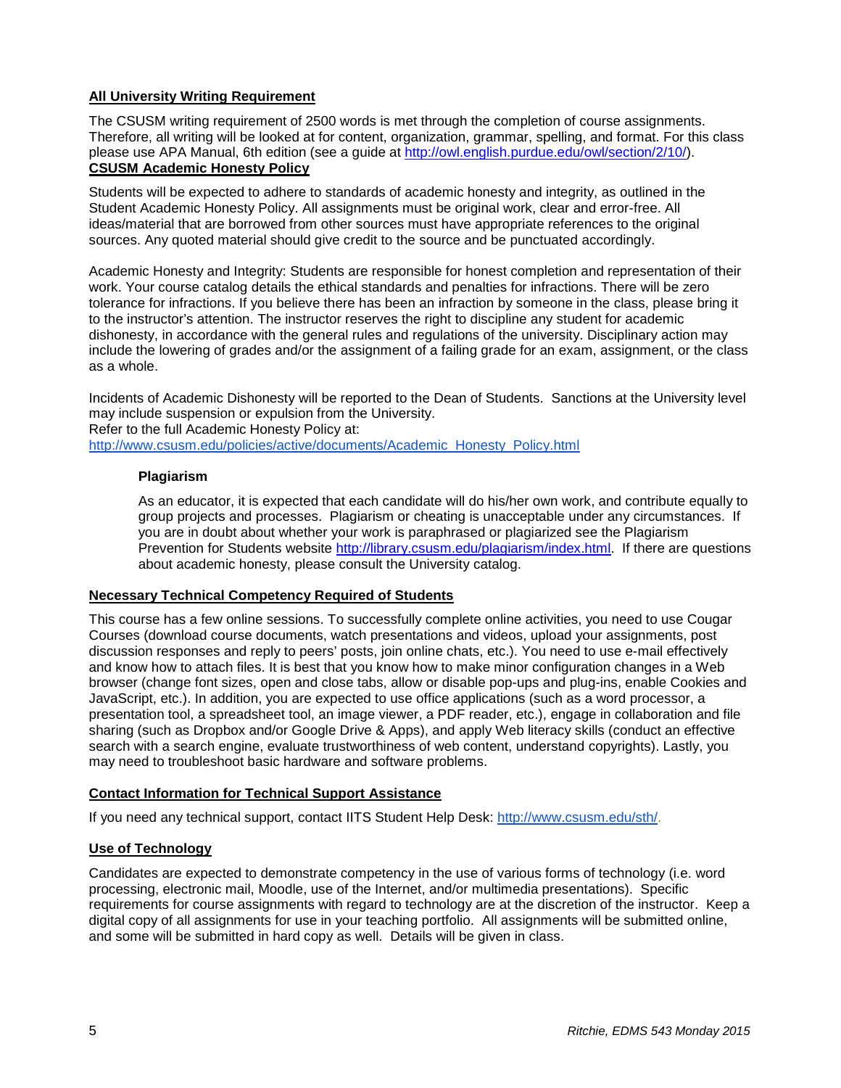# **All University Writing Requirement**

The CSUSM writing requirement of 2500 words is met through the completion of course assignments. Therefore, all writing will be looked at for content, organization, grammar, spelling, and format. For this class please use APA Manual, 6th edition (see a guide at [http://owl.english.purdue.edu/owl/section/2/10/\)](http://owl.english.purdue.edu/owl/section/2/10/). **CSUSM Academic Honesty Policy**

Students will be expected to adhere to standards of academic honesty and integrity, as outlined in the Student Academic Honesty Policy. All assignments must be original work, clear and error-free. All ideas/material that are borrowed from other sources must have appropriate references to the original sources. Any quoted material should give credit to the source and be punctuated accordingly.

Academic Honesty and Integrity: Students are responsible for honest completion and representation of their work. Your course catalog details the ethical standards and penalties for infractions. There will be zero tolerance for infractions. If you believe there has been an infraction by someone in the class, please bring it to the instructor's attention. The instructor reserves the right to discipline any student for academic dishonesty, in accordance with the general rules and regulations of the university. Disciplinary action may include the lowering of grades and/or the assignment of a failing grade for an exam, assignment, or the class as a whole.

Incidents of Academic Dishonesty will be reported to the Dean of Students. Sanctions at the University level may include suspension or expulsion from the University.

Refer to the full Academic Honesty Policy at[:](http://www.csusm.edu/policies/active/documents/Academic_Honesty_Policy.html)

[http://www.csusm.edu/policies/active/documents/Academic\\_Honesty\\_Policy.html](http://www.csusm.edu/policies/active/documents/Academic_Honesty_Policy.html)

### **Plagiarism**

As an educator, it is expected that each candidate will do his/her own work, and contribute equally to group projects and processes. Plagiarism or cheating is unacceptable under any circumstances. If you are in doubt about whether your work is paraphrased or plagiarized see the Plagiarism Prevention for Students website [http://library.csusm.edu/plagiarism/index.html.](http://library.csusm.edu/plagiarism/index.html) If there are questions about academic honesty, please consult the University catalog.

# **Necessary Technical Competency Required of Students**

This course has a few online sessions. To successfully complete online activities, you need to use Cougar Courses (download course documents, watch presentations and videos, upload your assignments, post discussion responses and reply to peers' posts, join online chats, etc.). You need to use e-mail effectively and know how to attach files. It is best that you know how to make minor configuration changes in a Web browser (change font sizes, open and close tabs, allow or disable pop-ups and plug-ins, enable Cookies and JavaScript, etc.). In addition, you are expected to use office applications (such as a word processor, a presentation tool, a spreadsheet tool, an image viewer, a PDF reader, etc.), engage in collaboration and file sharing (such as Dropbox and/or Google Drive & Apps), and apply Web literacy skills (conduct an effective search with a search engine, evaluate trustworthiness of web content, understand copyrights). Lastly, you may need to troubleshoot basic hardware and software problems.

# **Contact Information for Technical Support Assistance**

If you need any technical support, contact IITS Student Help Desk[:](http://www.csusm.edu/sth/) [http://www.csusm.edu/sth/.](http://www.csusm.edu/sth/)

# **Use of Technology**

Candidates are expected to demonstrate competency in the use of various forms of technology (i.e. word processing, electronic mail, Moodle, use of the Internet, and/or multimedia presentations). Specific requirements for course assignments with regard to technology are at the discretion of the instructor. Keep a digital copy of all assignments for use in your teaching portfolio. All assignments will be submitted online, and some will be submitted in hard copy as well. Details will be given in class.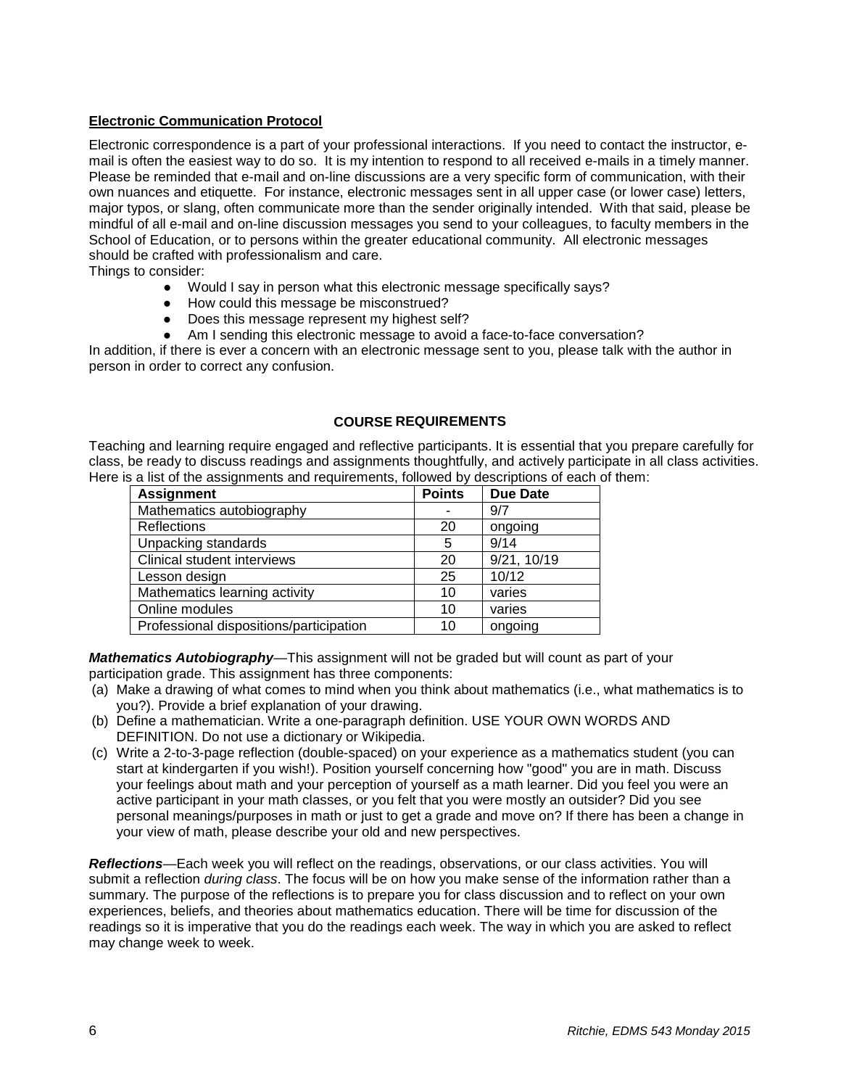# **Electronic Communication Protocol**

Electronic correspondence is a part of your professional interactions. If you need to contact the instructor, email is often the easiest way to do so. It is my intention to respond to all received e-mails in a timely manner. Please be reminded that e-mail and on-line discussions are a very specific form of communication, with their own nuances and etiquette. For instance, electronic messages sent in all upper case (or lower case) letters, major typos, or slang, often communicate more than the sender originally intended. With that said, please be mindful of all e-mail and on-line discussion messages you send to your colleagues, to faculty members in the School of Education, or to persons within the greater educational community. All electronic messages should be crafted with professionalism and care.

Things to consider:

- Would I say in person what this electronic message specifically says?
- How could this message be misconstrued?
- Does this message represent my highest self?
- Am I sending this electronic message to avoid a face-to-face conversation?

In addition, if there is ever a concern with an electronic message sent to you, please talk with the author in person in order to correct any confusion.

#### **COURSE REQUIREMENTS**

Teaching and learning require engaged and reflective participants. It is essential that you prepare carefully for class, be ready to discuss readings and assignments thoughtfully, and actively participate in all class activities. Here is a list of the assignments and requirements, followed by descriptions of each of them:

| <b>Assignment</b>                       | <b>Points</b> | <b>Due Date</b> |
|-----------------------------------------|---------------|-----------------|
| Mathematics autobiography               |               | 9/7             |
| Reflections                             | 20            | ongoing         |
| Unpacking standards                     | 5             | 9/14            |
| Clinical student interviews             | 20            | 9/21, 10/19     |
| Lesson design                           | 25            | 10/12           |
| Mathematics learning activity           | 10            | varies          |
| Online modules                          | 10            | varies          |
| Professional dispositions/participation | 10            | ongoing         |

*Mathematics Autobiography*—This assignment will not be graded but will count as part of your participation grade. This assignment has three components:

- (a) Make a drawing of what comes to mind when you think about mathematics (i.e., what mathematics is to you?). Provide a brief explanation of your drawing.
- (b) Define a mathematician. Write a one-paragraph definition. USE YOUR OWN WORDS AND DEFINITION. Do not use a dictionary or Wikipedia.
- (c) Write a 2-to-3-page reflection (double-spaced) on your experience as a mathematics student (you can start at kindergarten if you wish!). Position yourself concerning how "good" you are in math. Discuss your feelings about math and your perception of yourself as a math learner. Did you feel you were an active participant in your math classes, or you felt that you were mostly an outsider? Did you see personal meanings/purposes in math or just to get a grade and move on? If there has been a change in your view of math, please describe your old and new perspectives.

*Reflections*—Each week you will reflect on the readings, observations, or our class activities. You will submit a reflection *during class*. The focus will be on how you make sense of the information rather than a summary. The purpose of the reflections is to prepare you for class discussion and to reflect on your own experiences, beliefs, and theories about mathematics education. There will be time for discussion of the readings so it is imperative that you do the readings each week. The way in which you are asked to reflect may change week to week.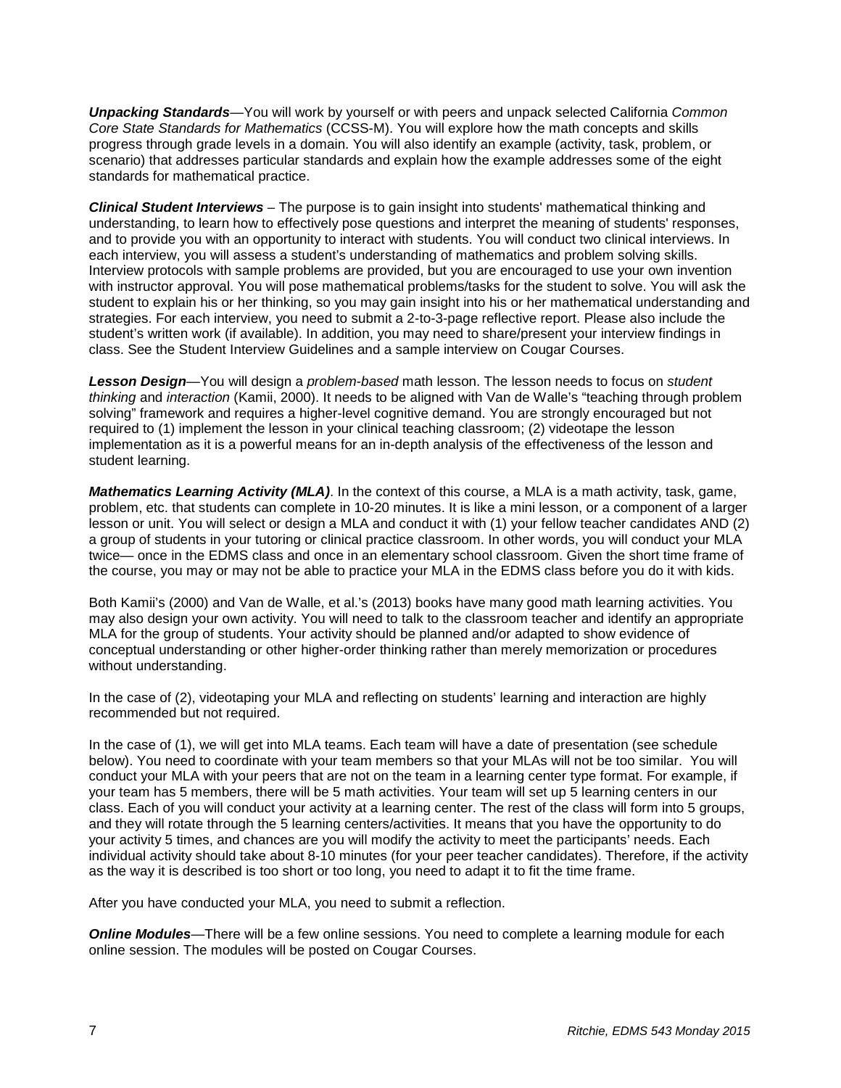*Unpacking Standards*—You will work by yourself or with peers and unpack selected California *Common Core State Standards for Mathematics* (CCSS-M). You will explore how the math concepts and skills progress through grade levels in a domain. You will also identify an example (activity, task, problem, or scenario) that addresses particular standards and explain how the example addresses some of the eight standards for mathematical practice.

*Clinical Student Interviews* – The purpose is to gain insight into students' mathematical thinking and understanding, to learn how to effectively pose questions and interpret the meaning of students' responses, and to provide you with an opportunity to interact with students. You will conduct two clinical interviews. In each interview, you will assess a student's understanding of mathematics and problem solving skills. Interview protocols with sample problems are provided, but you are encouraged to use your own invention with instructor approval. You will pose mathematical problems/tasks for the student to solve. You will ask the student to explain his or her thinking, so you may gain insight into his or her mathematical understanding and strategies. For each interview, you need to submit a 2-to-3-page reflective report. Please also include the student's written work (if available). In addition, you may need to share/present your interview findings in class. See the Student Interview Guidelines and a sample interview on Cougar Courses.

*Lesson Design*—You will design a *problem-based* math lesson. The lesson needs to focus on *student thinking* and *interaction* (Kamii, 2000). It needs to be aligned with Van de Walle's "teaching through problem solving" framework and requires a higher-level cognitive demand. You are strongly encouraged but not required to (1) implement the lesson in your clinical teaching classroom; (2) videotape the lesson implementation as it is a powerful means for an in-depth analysis of the effectiveness of the lesson and student learning.

*Mathematics Learning Activity (MLA)*. In the context of this course, a MLA is a math activity, task, game, problem, etc. that students can complete in 10-20 minutes. It is like a mini lesson, or a component of a larger lesson or unit. You will select or design a MLA and conduct it with (1) your fellow teacher candidates AND (2) a group of students in your tutoring or clinical practice classroom. In other words, you will conduct your MLA twice— once in the EDMS class and once in an elementary school classroom. Given the short time frame of the course, you may or may not be able to practice your MLA in the EDMS class before you do it with kids.

Both Kamii's (2000) and Van de Walle, et al.'s (2013) books have many good math learning activities. You may also design your own activity. You will need to talk to the classroom teacher and identify an appropriate MLA for the group of students. Your activity should be planned and/or adapted to show evidence of conceptual understanding or other higher-order thinking rather than merely memorization or procedures without understanding.

In the case of (2), videotaping your MLA and reflecting on students' learning and interaction are highly recommended but not required.

In the case of (1), we will get into MLA teams. Each team will have a date of presentation (see schedule below). You need to coordinate with your team members so that your MLAs will not be too similar. You will conduct your MLA with your peers that are not on the team in a learning center type format. For example, if your team has 5 members, there will be 5 math activities. Your team will set up 5 learning centers in our class. Each of you will conduct your activity at a learning center. The rest of the class will form into 5 groups, and they will rotate through the 5 learning centers/activities. It means that you have the opportunity to do your activity 5 times, and chances are you will modify the activity to meet the participants' needs. Each individual activity should take about 8-10 minutes (for your peer teacher candidates). Therefore, if the activity as the way it is described is too short or too long, you need to adapt it to fit the time frame.

After you have conducted your MLA, you need to submit a reflection.

**Online Modules**—There will be a few online sessions. You need to complete a learning module for each online session. The modules will be posted on Cougar Courses.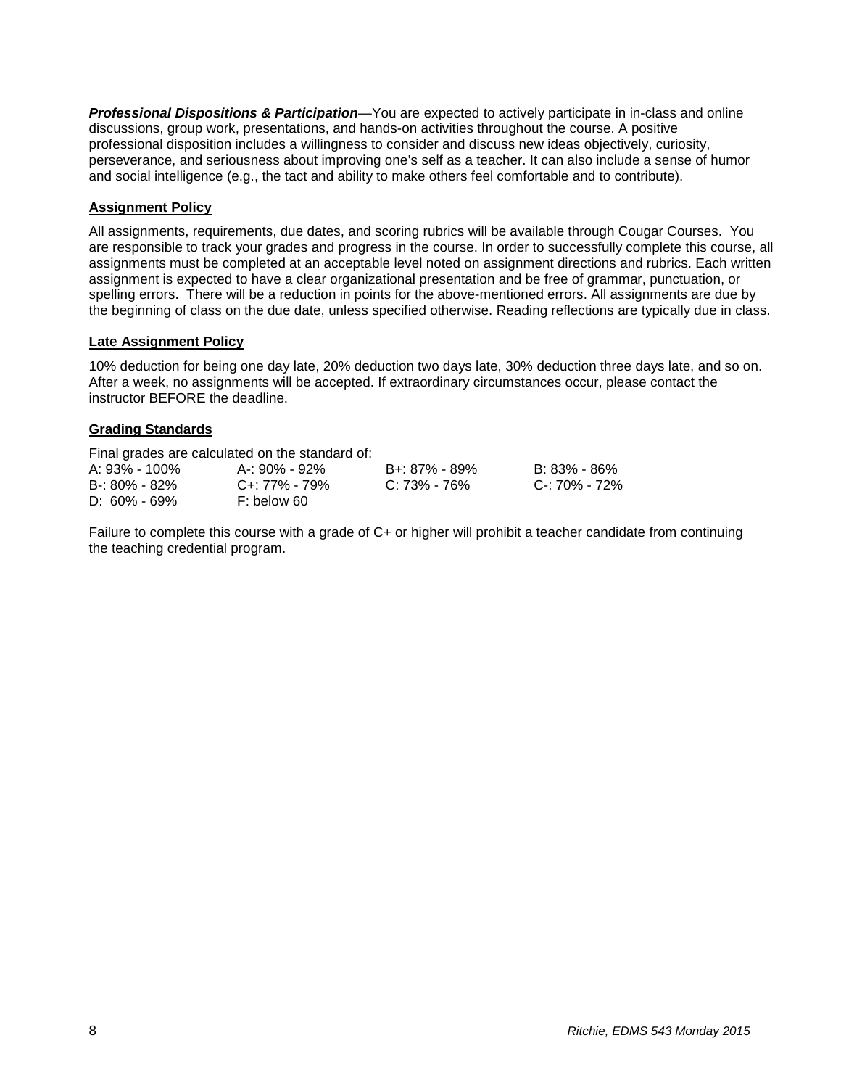*Professional Dispositions & Participation*—You are expected to actively participate in in-class and online discussions, group work, presentations, and hands-on activities throughout the course. A positive professional disposition includes a willingness to consider and discuss new ideas objectively, curiosity, perseverance, and seriousness about improving one's self as a teacher. It can also include a sense of humor and social intelligence (e.g., the tact and ability to make others feel comfortable and to contribute).

### **Assignment Policy**

All assignments, requirements, due dates, and scoring rubrics will be available through Cougar Courses. You are responsible to track your grades and progress in the course. In order to successfully complete this course, all assignments must be completed at an acceptable level noted on assignment directions and rubrics. Each written assignment is expected to have a clear organizational presentation and be free of grammar, punctuation, or spelling errors. There will be a reduction in points for the above-mentioned errors. All assignments are due by the beginning of class on the due date, unless specified otherwise. Reading reflections are typically due in class.

#### **Late Assignment Policy**

10% deduction for being one day late, 20% deduction two days late, 30% deduction three days late, and so on. After a week, no assignments will be accepted. If extraordinary circumstances occur, please contact the instructor BEFORE the deadline.

#### **Grading Standards**

Final grades are calculated on the standard of:

| A: 93% - 100%     | A-: 90% - 92% | B+: 87% - 89% | B: 83% - 86%  |
|-------------------|---------------|---------------|---------------|
| $B - 80\% - 82\%$ | C+: 77% - 79% | C: 73% - 76%  | C-: 70% - 72% |
| $D: 60\% - 69\%$  | F: below 60   |               |               |

Failure to complete this course with a grade of C+ or higher will prohibit a teacher candidate from continuing the teaching credential program.